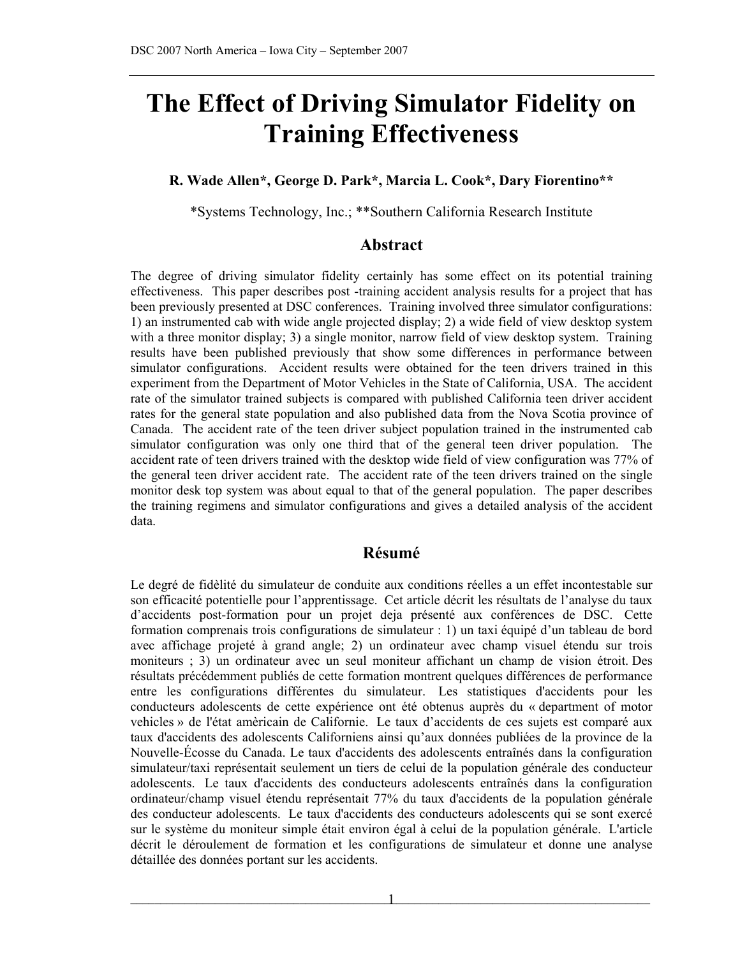# **The Effect of Driving Simulator Fidelity on Training Effectiveness**

#### **R. Wade Allen\*, George D. Park\*, Marcia L. Cook\*, Dary Fiorentino\*\***

\*Systems Technology, Inc.; \*\*Southern California Research Institute

#### **Abstract**

The degree of driving simulator fidelity certainly has some effect on its potential training effectiveness. This paper describes post -training accident analysis results for a project that has been previously presented at DSC conferences. Training involved three simulator configurations: 1) an instrumented cab with wide angle projected display; 2) a wide field of view desktop system with a three monitor display; 3) a single monitor, narrow field of view desktop system. Training results have been published previously that show some differences in performance between simulator configurations. Accident results were obtained for the teen drivers trained in this experiment from the Department of Motor Vehicles in the State of California, USA. The accident rate of the simulator trained subjects is compared with published California teen driver accident rates for the general state population and also published data from the Nova Scotia province of Canada. The accident rate of the teen driver subject population trained in the instrumented cab simulator configuration was only one third that of the general teen driver population. The accident rate of teen drivers trained with the desktop wide field of view configuration was 77% of the general teen driver accident rate. The accident rate of the teen drivers trained on the single monitor desk top system was about equal to that of the general population. The paper describes the training regimens and simulator configurations and gives a detailed analysis of the accident data.

#### **Résumé**

Le degré de fidèlité du simulateur de conduite aux conditions réelles a un effet incontestable sur son efficacité potentielle pour l'apprentissage. Cet article décrit les résultats de l'analyse du taux d'accidents post-formation pour un projet deja présenté aux conférences de DSC. Cette formation comprenais trois configurations de simulateur : 1) un taxi équipé d'un tableau de bord avec affichage projeté à grand angle; 2) un ordinateur avec champ visuel étendu sur trois moniteurs ; 3) un ordinateur avec un seul moniteur affichant un champ de vision étroit. Des résultats précédemment publiés de cette formation montrent quelques différences de performance entre les configurations différentes du simulateur. Les statistiques d'accidents pour les conducteurs adolescents de cette expérience ont été obtenus auprès du « department of motor vehicles » de l'état amèricain de Californie. Le taux d'accidents de ces sujets est comparé aux taux d'accidents des adolescents Californiens ainsi qu'aux données publiées de la province de la Nouvelle-Écosse du Canada. Le taux d'accidents des adolescents entraînés dans la configuration simulateur/taxi représentait seulement un tiers de celui de la population générale des conducteur adolescents. Le taux d'accidents des conducteurs adolescents entraînés dans la configuration ordinateur/champ visuel étendu représentait 77% du taux d'accidents de la population générale des conducteur adolescents. Le taux d'accidents des conducteurs adolescents qui se sont exercé sur le système du moniteur simple était environ égal à celui de la population générale. L'article décrit le déroulement de formation et les configurations de simulateur et donne une analyse détaillée des données portant sur les accidents.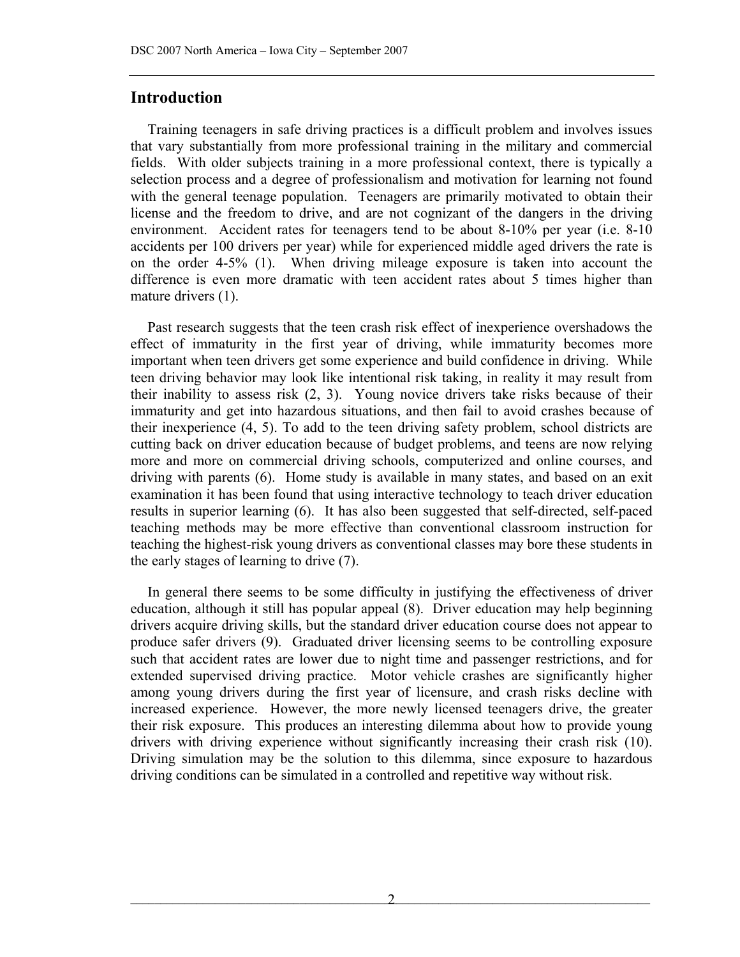## **Introduction**

Training teenagers in safe driving practices is a difficult problem and involves issues that vary substantially from more professional training in the military and commercial fields. With older subjects training in a more professional context, there is typically a selection process and a degree of professionalism and motivation for learning not found with the general teenage population. Teenagers are primarily motivated to obtain their license and the freedom to drive, and are not cognizant of the dangers in the driving environment. Accident rates for teenagers tend to be about 8-10% per year (i.e. 8-10 accidents per 100 drivers per year) while for experienced middle aged drivers the rate is on the order 4-5% [\(1](#page-12-0)). When driving mileage exposure is taken into account the difference is even more dramatic with teen accident rates about 5 times higher than mature drivers (1).

Past research suggests that the teen crash risk effect of inexperience overshadows the effect of immaturity in the first year of driving, while immaturity becomes more important when teen drivers get some experience and build confidence in driving. While teen driving behavior may look like intentional risk taking, in reality it may result from their inability to assess risk [\(2](#page-12-1), [3](#page-12-2)). Young novice drivers take risks because of their immaturity and get into hazardous situations, and then fail to avoid crashes because of their inexperience ([4,](#page-12-3) [5](#page-13-0)). To add to the teen driving safety problem, school districts are cutting back on driver education because of budget problems, and teens are now relying more and more on commercial driving schools, computerized and online courses, and driving with parents (6). Home study is available in many states, and based on an exit examination it has been found that using interactive technology to teach driver education results in superior learning (6). It has also been suggested that self-directed, self-paced teaching methods may be more effective than conventional classroom instruction for teaching the highest-risk young drivers as conventional classes may bore these students in the early stages of learning to drive (7).

In general there seems to be some difficulty in justifying the effectiveness of driver education, although it still has popular appeal ([8\)](#page-13-3). Driver education may help beginning drivers acquire driving skills, but the standard driver education course does not appear to produce safer drivers [\(9](#page-13-4)). Graduated driver licensing seems to be controlling exposure such that accident rates are lower due to night time and passenger restrictions, and for extended supervised driving practice. Motor vehicle crashes are significantly higher among young drivers during the first year of licensure, and crash risks decline with increased experience. However, the more newly licensed teenagers drive, the greater their risk exposure. This produces an interesting dilemma about how to provide young drivers with driving experience without significantly increasing their crash risk [\(10\)](#page-13-5). Driving simulation may be the solution to this dilemma, since exposure to hazardous driving conditions can be simulated in a controlled and repetitive way without risk.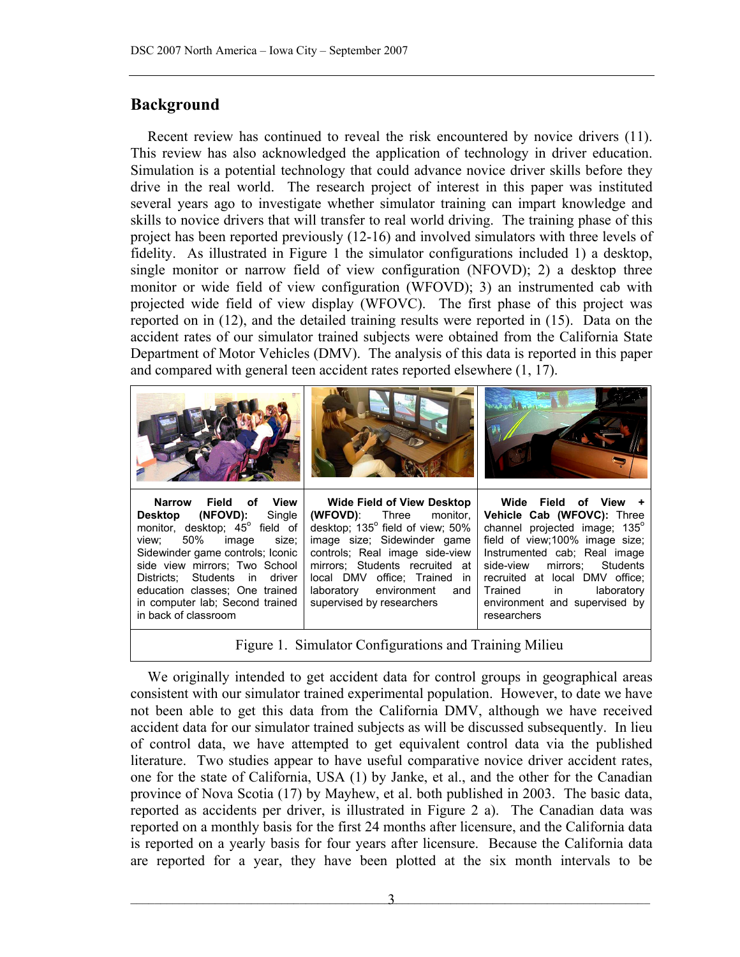# **Background**

Recent review has continued to reveal the risk encountered by novice drivers [\(11\)](#page-13-6). This review has also acknowledged the application of technology in driver education. Simulation is a potential technology that could advance novice driver skills before they drive in the real world. The research project of interest in this paper was instituted several years ago to investigate whether simulator training can impart knowledge and skills to novice drivers that will transfer to real world driving. The training phase of this project has been reported previously ( [12-](#page-13-7) [16\)](#page-14-0) and involved simulators with three levels of fidelity. As illustrated in Figure 1 the simulator configurations included 1) a desktop, single monitor or narrow field of view configuration (NFOVD); 2) a desktop three monitor or wide field of view configuration (WFOVD); 3) an instrumented cab with projected wide field of view display (WFOVC). The first phase of this project was reported on in (12), and the detailed training results were reported in (15). Data on the accident rates of our simulator trained subjects were obtained from the California State Department of Motor Vehicles (DMV). The analysis of this data is reported in this paper and compared with general teen accident rates reported elsewhere  $(1, 17)$  $(1, 17)$  $(1, 17)$ .



Figure 1. Simulator Configurations and Training Milieu

We originally intended to get accident data for control groups in geographical areas consistent with our simulator trained experimental population. However, to date we have not been able to get this data from the California DMV, although we have received accident data for our simulator trained subjects as will be discussed subsequently. In lieu of control data, we have attempted to get equivalent control data via the published literature. Two studies appear to have useful comparative novice driver accident rates, one for the state of California, USA ([1\)](#page-12-0) by Janke, et al., and the other for the Canadian province of Nova Scotia ([17](#page-14-1)) by Mayhew, et al. both published in 2003. The basic data, reported as accidents per driver, is illustrated in Figure 2 a). The Canadian data was reported on a monthly basis for the first 24 months after licensure, and the California data is reported on a yearly basis for four years after licensure. Because the California data are reported for a year, they have been plotted at the six month intervals to be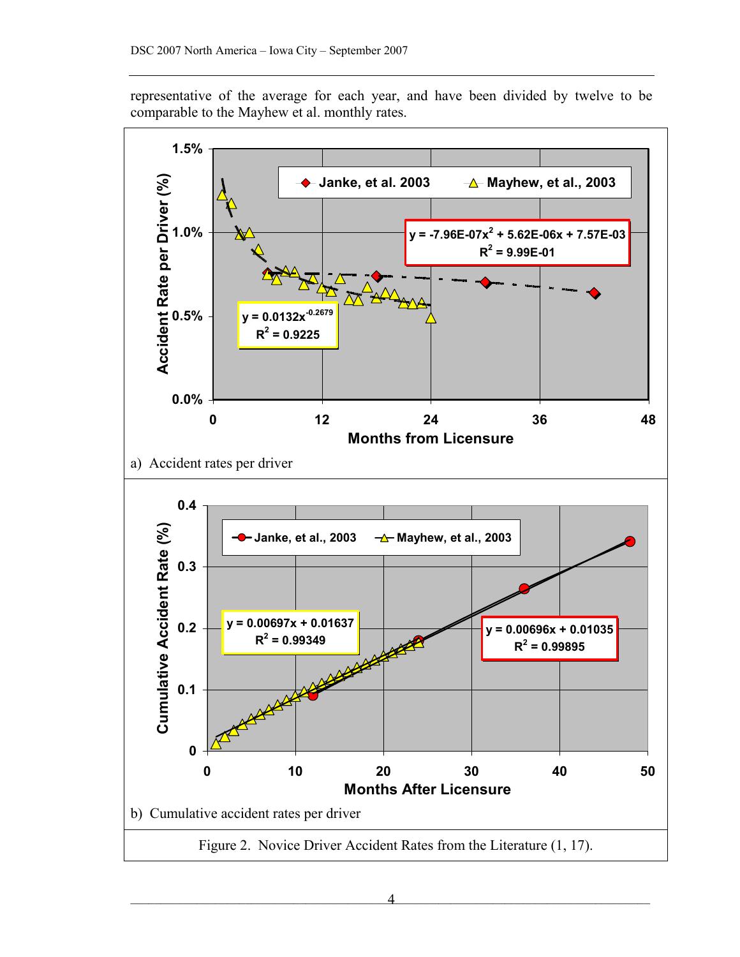representative of the average for each year, and have been divided by twelve to be comparable to the Mayhew et al. monthly rates.

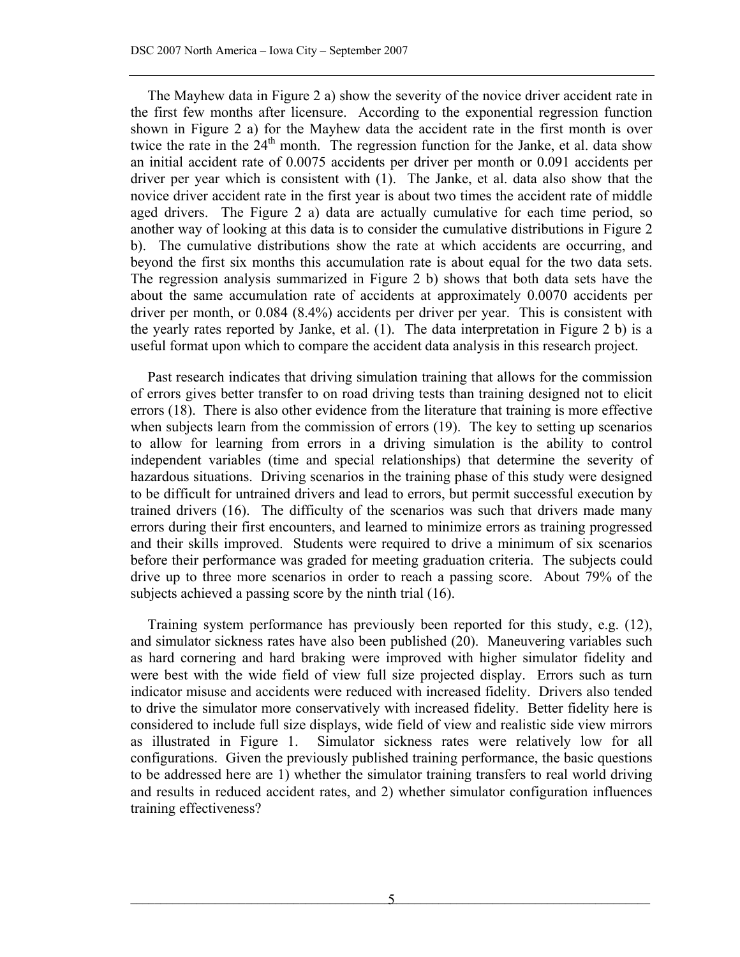The Mayhew data in Figure 2 a) show the severity of the novice driver accident rate in the first few months after licensure. According to the exponential regression function shown in Figure 2 a) for the Mayhew data the accident rate in the first month is over twice the rate in the  $24<sup>th</sup>$  month. The regression function for the Janke, et al. data show an initial accident rate of 0.0075 accidents per driver per month or 0.091 accidents per driver per year which is consistent with [\(1](#page-12-0)). The Janke, et al. data also show that the novice driver accident rate in the first year is about two times the accident rate of middle aged drivers. The Figure 2 a) data are actually cumulative for each time period, so another way of looking at this data is to consider the cumulative distributions in Figure 2 b). The cumulative distributions show the rate at which accidents are occurring, and beyond the first six months this accumulation rate is about equal for the two data sets. The regression analysis summarized in Figure 2 b) shows that both data sets have the about the same accumulation rate of accidents at approximately 0.0070 accidents per driver per month, or 0.084 (8.4%) accidents per driver per year. This is consistent with the yearly rates reported by Janke, et al. ([1\)](#page-12-0). The data interpretation in Figure 2 b) is a useful format upon which to compare the accident data analysis in this research project.

Past research indicates that driving simulation training that allows for the commission of errors gives better transfer to on road driving tests than training designed not to elicit errors [\(18](#page-14-2)). There is also other evidence from the literature that training is more effective when subjects learn from the commission of errors ([19\)](#page-14-3). The key to setting up scenarios to allow for learning from errors in a driving simulation is the ability to control independent variables (time and special relationships) that determine the severity of hazardous situations. Driving scenarios in the training phase of this study were designed to be difficult for untrained drivers and lead to errors, but permit successful execution by trained drivers ([16\)](#page-14-0). The difficulty of the scenarios was such that drivers made many errors during their first encounters, and learned to minimize errors as training progressed and their skills improved. Students were required to drive a minimum of six scenarios before their performance was graded for meeting graduation criteria. The subjects could drive up to three more scenarios in order to reach a passing score. About 79% of the subjects achieved a passing score by the ninth trial ([16\)](#page-14-0).

Training system performance has previously been reported for this study, e.g. [\(12](#page-13-7)), and simulator sickness rates have also been published [\(20](#page-14-4)). Maneuvering variables such as hard cornering and hard braking were improved with higher simulator fidelity and were best with the wide field of view full size projected display. Errors such as turn indicator misuse and accidents were reduced with increased fidelity. Drivers also tended to drive the simulator more conservatively with increased fidelity. Better fidelity here is considered to include full size displays, wide field of view and realistic side view mirrors as illustrated in Figure 1. Simulator sickness rates were relatively low for all configurations. Given the previously published training performance, the basic questions to be addressed here are 1) whether the simulator training transfers to real world driving and results in reduced accident rates, and 2) whether simulator configuration influences training effectiveness?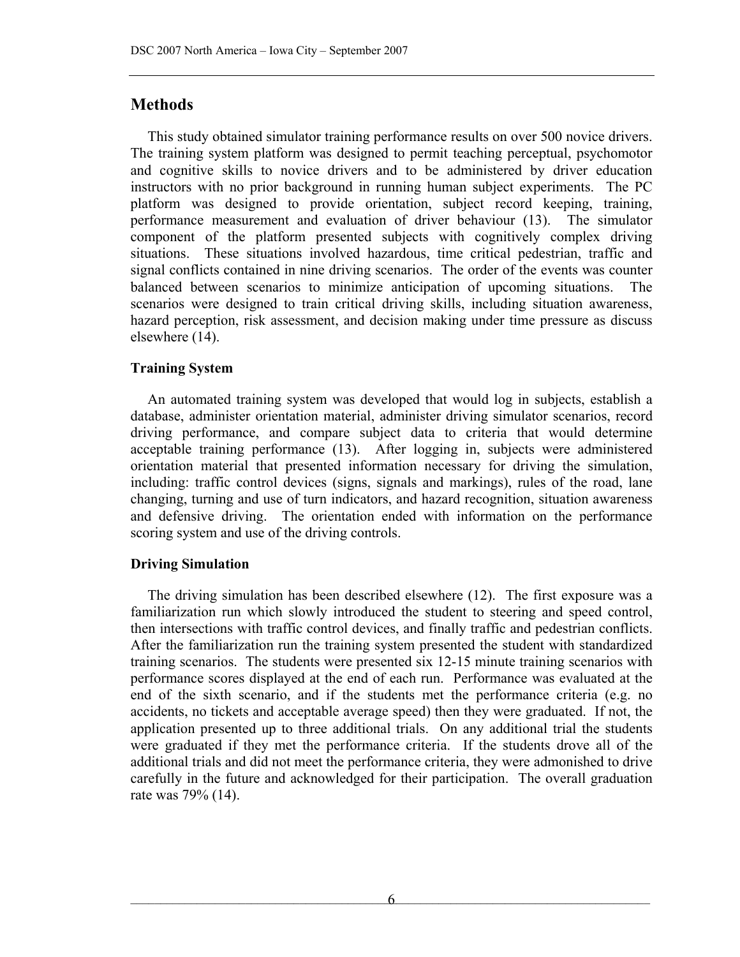# **Methods**

This study obtained simulator training performance results on over 500 novice drivers. The training system platform was designed to permit teaching perceptual, psychomotor and cognitive skills to novice drivers and to be administered by driver education instructors with no prior background in running human subject experiments. The PC platform was designed to provide orientation, subject record keeping, training, performance measurement and evaluation of driver behaviour [\(13\)](#page-13-7). The simulator component of the platform presented subjects with cognitively complex driving situations. These situations involved hazardous, time critical pedestrian, traffic and signal conflicts contained in nine driving scenarios. The order of the events was counter balanced between scenarios to minimize anticipation of upcoming situations. The scenarios were designed to train critical driving skills, including situation awareness, hazard perception, risk assessment, and decision making under time pressure as discuss elsewhere [\(14\)](#page-13-9).

## **Training System**

An automated training system was developed that would log in subjects, establish a database, administer orientation material, administer driving simulator scenarios, record driving performance, and compare subject data to criteria that would determine acceptable training performance [\(13](#page-13-7)). After logging in, subjects were administered orientation material that presented information necessary for driving the simulation, including: traffic control devices (signs, signals and markings), rules of the road, lane changing, turning and use of turn indicators, and hazard recognition, situation awareness and defensive driving. The orientation ended with information on the performance scoring system and use of the driving controls.

#### **Driving Simulation**

The driving simulation has been described elsewhere (12). The first exposure was a familiarization run which slowly introduced the student to steering and speed control, then intersections with traffic control devices, and finally traffic and pedestrian conflicts. After the familiarization run the training system presented the student with standardized training scenarios. The students were presented six 12-15 minute training scenarios with performance scores displayed at the end of each run. Performance was evaluated at the end of the sixth scenario, and if the students met the performance criteria (e.g. no accidents, no tickets and acceptable average speed) then they were graduated. If not, the application presented up to three additional trials. On any additional trial the students were graduated if they met the performance criteria. If the students drove all of the additional trials and did not meet the performance criteria, they were admonished to drive carefully in the future and acknowledged for their participation. The overall graduation rate was 79% ([14\)](#page-13-9).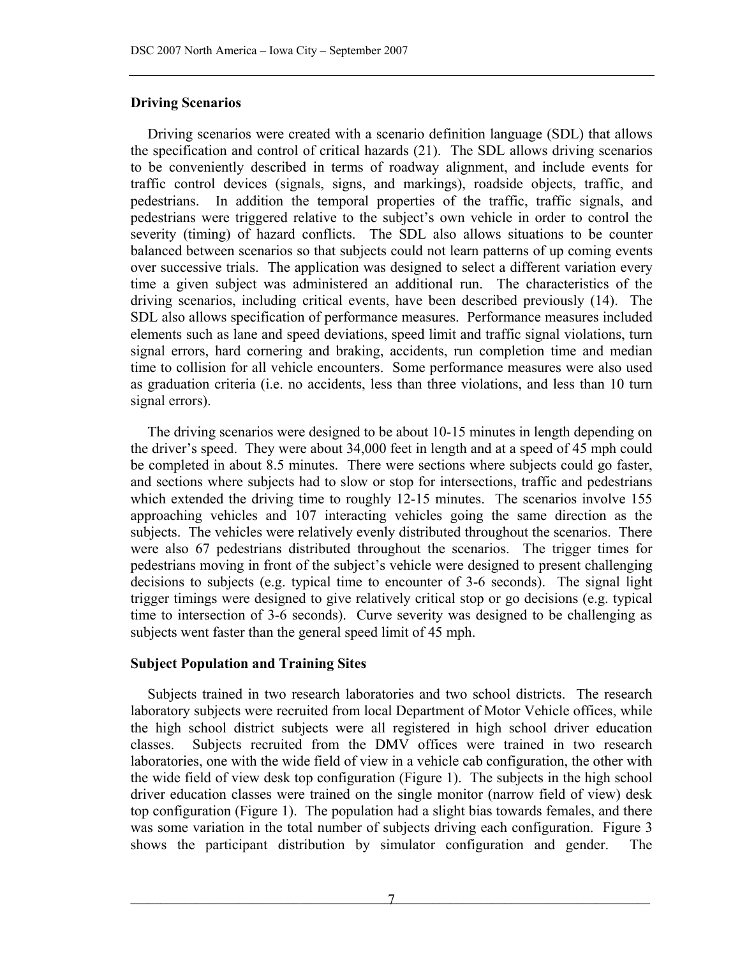#### **Driving Scenarios**

Driving scenarios were created with a scenario definition language (SDL) that allows the specification and control of critical hazards [\(21](#page-14-5)). The SDL allows driving scenarios to be conveniently described in terms of roadway alignment, and include events for traffic control devices (signals, signs, and markings), roadside objects, traffic, and pedestrians. In addition the temporal properties of the traffic, traffic signals, and pedestrians were triggered relative to the subject's own vehicle in order to control the severity (timing) of hazard conflicts. The SDL also allows situations to be counter balanced between scenarios so that subjects could not learn patterns of up coming events over successive trials. The application was designed to select a different variation every time a given subject was administered an additional run. The characteristics of the driving scenarios, including critical events, have been described previously ([14\)](#page-13-9). The SDL also allows specification of performance measures. Performance measures included elements such as lane and speed deviations, speed limit and traffic signal violations, turn signal errors, hard cornering and braking, accidents, run completion time and median time to collision for all vehicle encounters. Some performance measures were also used as graduation criteria (i.e. no accidents, less than three violations, and less than 10 turn signal errors).

The driving scenarios were designed to be about 10-15 minutes in length depending on the driver's speed. They were about 34,000 feet in length and at a speed of 45 mph could be completed in about 8.5 minutes. There were sections where subjects could go faster, and sections where subjects had to slow or stop for intersections, traffic and pedestrians which extended the driving time to roughly 12-15 minutes. The scenarios involve 155 approaching vehicles and 107 interacting vehicles going the same direction as the subjects. The vehicles were relatively evenly distributed throughout the scenarios. There were also 67 pedestrians distributed throughout the scenarios. The trigger times for pedestrians moving in front of the subject's vehicle were designed to present challenging decisions to subjects (e.g. typical time to encounter of 3-6 seconds). The signal light trigger timings were designed to give relatively critical stop or go decisions (e.g. typical time to intersection of 3-6 seconds). Curve severity was designed to be challenging as subjects went faster than the general speed limit of 45 mph.

#### **Subject Population and Training Sites**

Subjects trained in two research laboratories and two school districts. The research laboratory subjects were recruited from local Department of Motor Vehicle offices, while the high school district subjects were all registered in high school driver education classes. Subjects recruited from the DMV offices were trained in two research laboratories, one with the wide field of view in a vehicle cab configuration, the other with the wide field of view desk top configuration (Figure 1). The subjects in the high school driver education classes were trained on the single monitor (narrow field of view) desk top configuration (Figure 1). The population had a slight bias towards females, and there was some variation in the total number of subjects driving each configuration. Figure 3 shows the participant distribution by simulator configuration and gender. The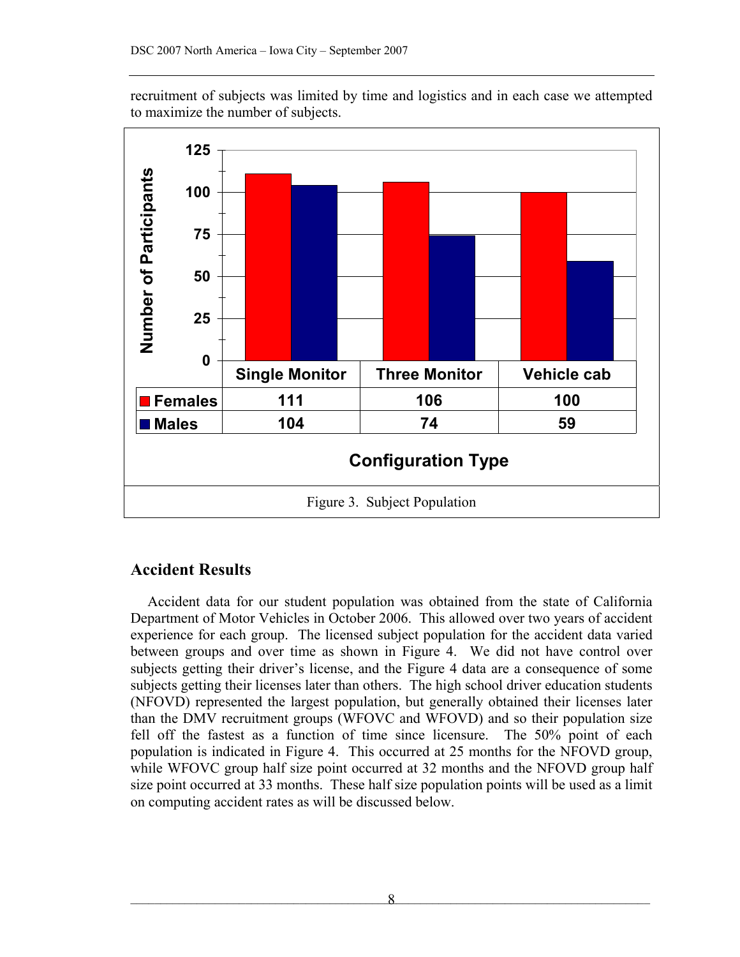recruitment of subjects was limited by time and logistics and in each case we attempted to maximize the number of subjects.



## **Accident Results**

Accident data for our student population was obtained from the state of California Department of Motor Vehicles in October 2006. This allowed over two years of accident experience for each group. The licensed subject population for the accident data varied between groups and over time as shown in Figure 4. We did not have control over subjects getting their driver's license, and the Figure 4 data are a consequence of some subjects getting their licenses later than others. The high school driver education students (NFOVD) represented the largest population, but generally obtained their licenses later than the DMV recruitment groups (WFOVC and WFOVD) and so their population size fell off the fastest as a function of time since licensure. The 50% point of each population is indicated in Figure 4. This occurred at 25 months for the NFOVD group, while WFOVC group half size point occurred at 32 months and the NFOVD group half size point occurred at 33 months. These half size population points will be used as a limit on computing accident rates as will be discussed below.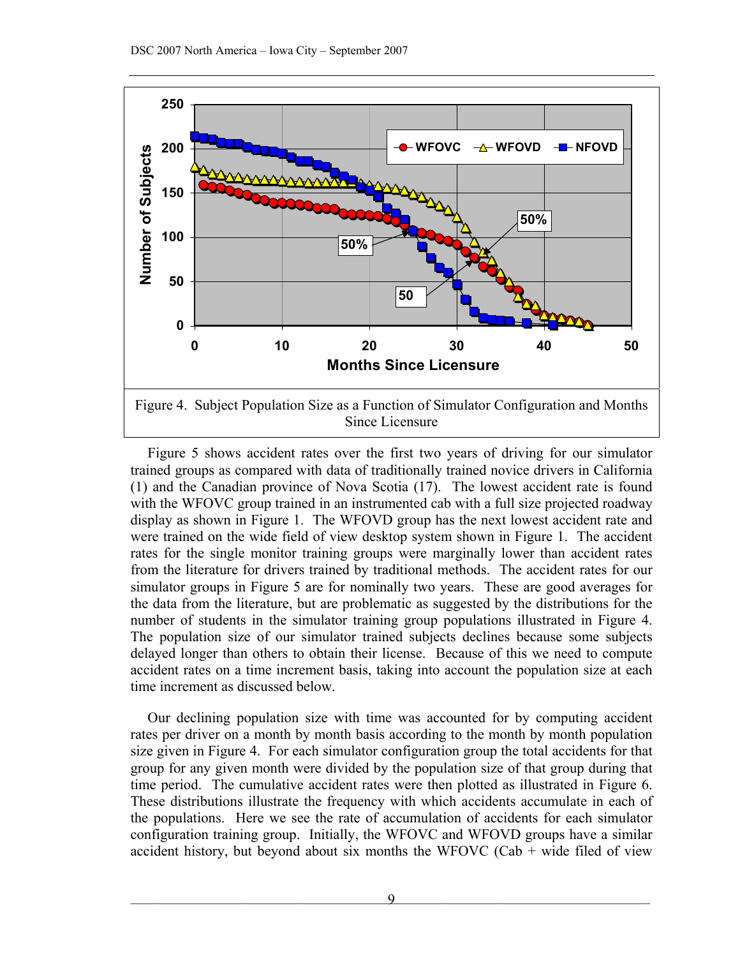

Figure 5 shows accident rates over the first two years of driving for our simulator trained groups as compared with data of traditionally trained novice drivers in California ([1](#page-12-0)) and the Canadian province of Nova Scotia [\( 17](#page-14-1)). The lowest accident rate is found with the WFOVC group trained in an instrumented cab with a full size projected roadway display as shown in Figure 1. The WFOVD group has the next lowest accident rate and were trained on the wide field of view desktop system shown in Figure 1. The accident rates for the single monitor training groups were marginally lower than accident rates from the literature for drivers trained by traditional methods. The accident rates for our simulator groups in Figure 5 are for nominally two years. These are good averages for the data from the literature, but are problematic as suggested by the distributions for the number of students in the simulator training group populations illustrated in Figure 4. The population size of our simulator trained subjects declines because some subjects delayed longer than others to obtain their license. Because of this we need to compute accident rates on a time increment basis, taking into account the population size at each time increment as discussed below.

Our declining population size with time was accounted for by computing accident rates per driver on a month by month basis according to the month by month population size given in Figure 4. For each simulator configuration group the total accidents for that group for any given month were divided by the population size of that group during that time period. The cumulative accident rates were then plotted as illustrated in Figure 6. These distributions illustrate the frequency with which accidents accumulate in each of the populations. Here we see the rate of accumulation of accidents for each simulator configuration training group. Initially, the WFOVC and WFOVD groups have a similar accident history, but beyond about six months the WFOVC (Cab + wide filed of view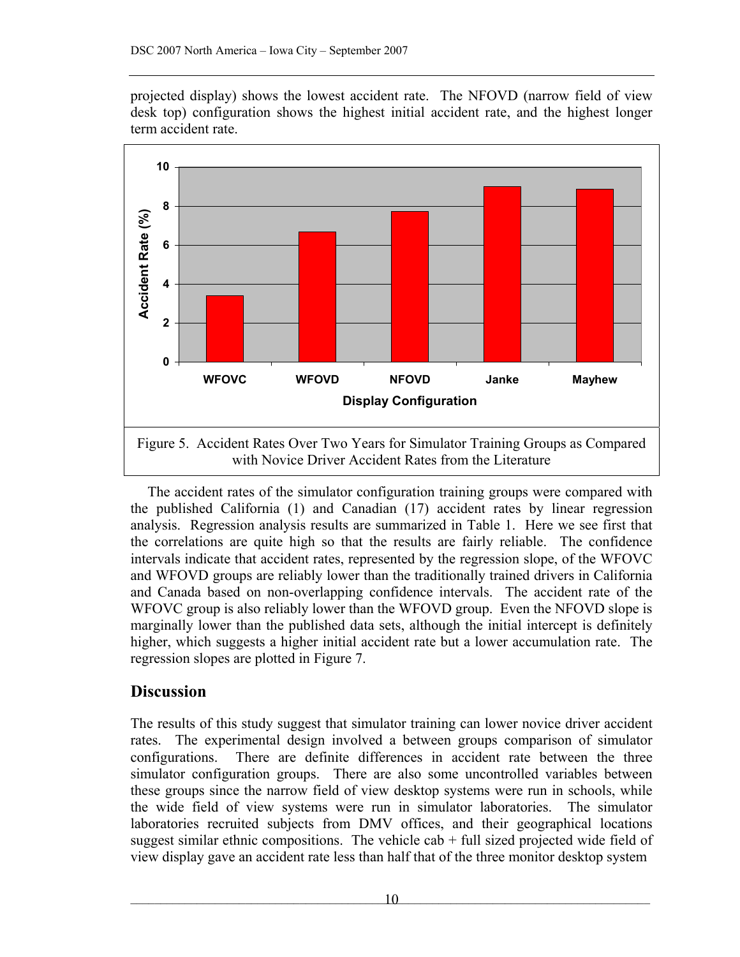projected display) shows the lowest accident rate. The NFOVD (narrow field of view desk top) configuration shows the highest initial accident rate, and the highest longer term accident rate.



The accident rates of the simulator configuration training groups were compared with the published California [\(1](#page-12-0)) and Canadian [\( 17](#page-14-1)) accident rates by linear regression analysis. Regression analysis results are summarized in Table 1. Here we see first that the correlations are quite high so that the results are fairly reliable. The confidence intervals indicate that accident rates, represented by the regression slope, of the WFOVC and WFOVD groups are reliably lower than the traditionally trained drivers in California and Canada based on non-overlapping confidence intervals. The accident rate of the WFOVC group is also reliably lower than the WFOVD group. Even the NFOVD slope is marginally lower than the published data sets, although the initial intercept is definitely higher, which suggests a higher initial accident rate but a lower accumulation rate. The regression slopes are plotted in Figure 7.

# **Discussion**

The results of this study suggest that simulator training can lower novice driver accident rates. The experimental design involved a between groups comparison of simulator configurations. There are definite differences in accident rate between the three simulator configuration groups. There are also some uncontrolled variables between these groups since the narrow field of view desktop systems were run in schools, while the wide field of view systems were run in simulator laboratories. The simulator laboratories recruited subjects from DMV offices, and their geographical locations suggest similar ethnic compositions. The vehicle cab  $+$  full sized projected wide field of view display gave an accident rate less than half that of the three monitor desktop system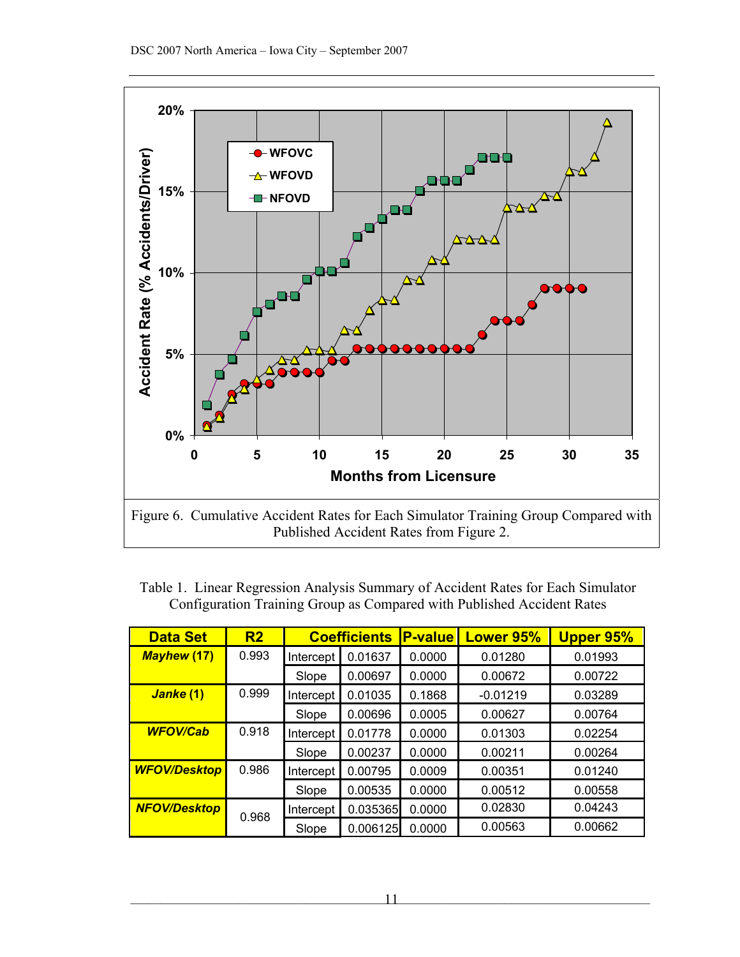

Table 1. Linear Regression Analysis Summary of Accident Rates for Each Simulator Configuration Training Group as Compared with Published Accident Rates

| <b>Data Set</b>     | R <sub>2</sub> | <b>Coefficients</b> |          | <b>P-value</b> | Lower 95%  | <b>Upper 95%</b> |
|---------------------|----------------|---------------------|----------|----------------|------------|------------------|
| <b>Mayhew (17)</b>  | 0.993          | Intercept           | 0.01637  | 0.0000         | 0.01280    | 0.01993          |
|                     |                | Slope               | 0.00697  | 0.0000         | 0.00672    | 0.00722          |
| Janke (1)           | 0.999          | Intercept           | 0.01035  | 0.1868         | $-0.01219$ | 0.03289          |
|                     |                | Slope               | 0.00696  | 0.0005         | 0.00627    | 0.00764          |
| <b>WFOV/Cab</b>     | 0.918          | Intercept           | 0.01778  | 0.0000         | 0.01303    | 0.02254          |
|                     |                | Slope               | 0.00237  | 0.0000         | 0.00211    | 0.00264          |
| <b>WFOV/Desktop</b> | 0.986          | Intercept           | 0.00795  | 0.0009         | 0.00351    | 0.01240          |
|                     |                | Slope               | 0.00535  | 0.0000         | 0.00512    | 0.00558          |
| <b>NFOV/Desktop</b> | 0.968          | Intercept           | 0.035365 | 0.0000         | 0.02830    | 0.04243          |
|                     |                | Slope               | 0.006125 | 0.0000         | 0.00563    | 0.00662          |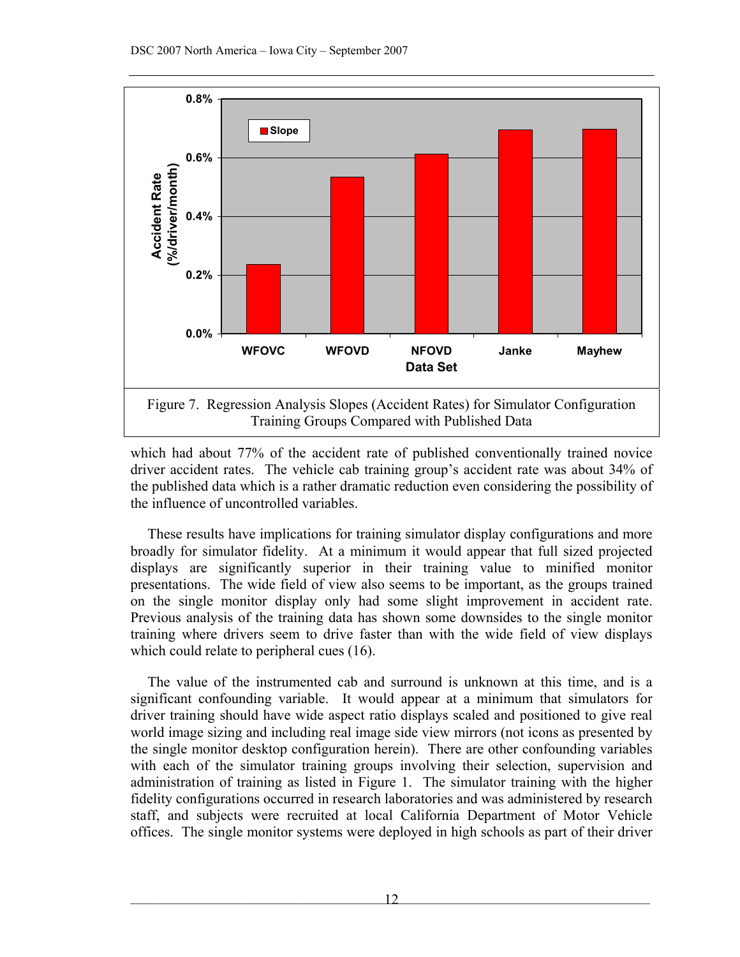

which had about 77% of the accident rate of published conventionally trained novice driver accident rates. The vehicle cab training group's accident rate was about 34% of the published data which is a rather dramatic reduction even considering the possibility of the influence of uncontrolled variables.

These results have implications for training simulator display configurations and more broadly for simulator fidelity. At a minimum it would appear that full sized projected displays are significantly superior in their training value to minified monitor presentations. The wide field of view also seems to be important, as the groups trained on the single monitor display only had some slight improvement in accident rate. Previous analysis of the training data has shown some downsides to the single monitor training where drivers seem to drive faster than with the wide field of view displays which could relate to peripheral cues (16).

The value of the instrumented cab and surround is unknown at this time, and is a significant confounding variable. It would appear at a minimum that simulators for driver training should have wide aspect ratio displays scaled and positioned to give real world image sizing and including real image side view mirrors (not icons as presented by the single monitor desktop configuration herein). There are other confounding variables with each of the simulator training groups involving their selection, supervision and administration of training as listed in Figure 1. The simulator training with the higher fidelity configurations occurred in research laboratories and was administered by research staff, and subjects were recruited at local California Department of Motor Vehicle offices. The single monitor systems were deployed in high schools as part of their driver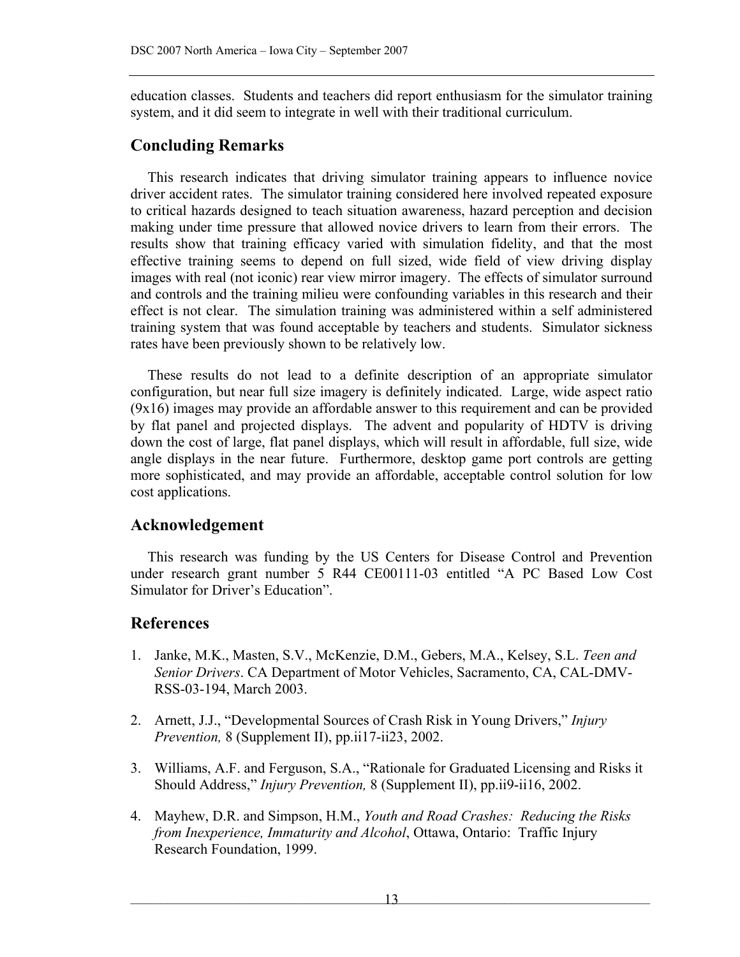education classes. Students and teachers did report enthusiasm for the simulator training system, and it did seem to integrate in well with their traditional curriculum.

# **Concluding Remarks**

This research indicates that driving simulator training appears to influence novice driver accident rates. The simulator training considered here involved repeated exposure to critical hazards designed to teach situation awareness, hazard perception and decision making under time pressure that allowed novice drivers to learn from their errors. The results show that training efficacy varied with simulation fidelity, and that the most effective training seems to depend on full sized, wide field of view driving display images with real (not iconic) rear view mirror imagery. The effects of simulator surround and controls and the training milieu were confounding variables in this research and their effect is not clear. The simulation training was administered within a self administered training system that was found acceptable by teachers and students. Simulator sickness rates have been previously shown to be relatively low.

These results do not lead to a definite description of an appropriate simulator configuration, but near full size imagery is definitely indicated. Large, wide aspect ratio (9x16) images may provide an affordable answer to this requirement and can be provided by flat panel and projected displays. The advent and popularity of HDTV is driving down the cost of large, flat panel displays, which will result in affordable, full size, wide angle displays in the near future. Furthermore, desktop game port controls are getting more sophisticated, and may provide an affordable, acceptable control solution for low cost applications.

## **Acknowledgement**

This research was funding by the US Centers for Disease Control and Prevention under research grant number 5 R44 CE00111-03 entitled "A PC Based Low Cost Simulator for Driver's Education".

# **References**

- <span id="page-12-0"></span>1. Janke, M.K., Masten, S.V., McKenzie, D.M., Gebers, M.A., Kelsey, S.L. *Teen and Senior Drivers*. CA Department of Motor Vehicles, Sacramento, CA, CAL-DMV-RSS-03-194, March 2003.
- <span id="page-12-1"></span>2. Arnett, J.J., "Developmental Sources of Crash Risk in Young Drivers," *Injury Prevention,* 8 (Supplement II), pp.ii17-ii23, 2002.
- <span id="page-12-2"></span>3. Williams, A.F. and Ferguson, S.A., "Rationale for Graduated Licensing and Risks it Should Address," *Injury Prevention,* 8 (Supplement II), pp.ii9-ii16, 2002.
- <span id="page-12-3"></span>4. Mayhew, D.R. and Simpson, H.M., *Youth and Road Crashes: Reducing the Risks from Inexperience, Immaturity and Alcohol*, Ottawa, Ontario: Traffic Injury Research Foundation, 1999.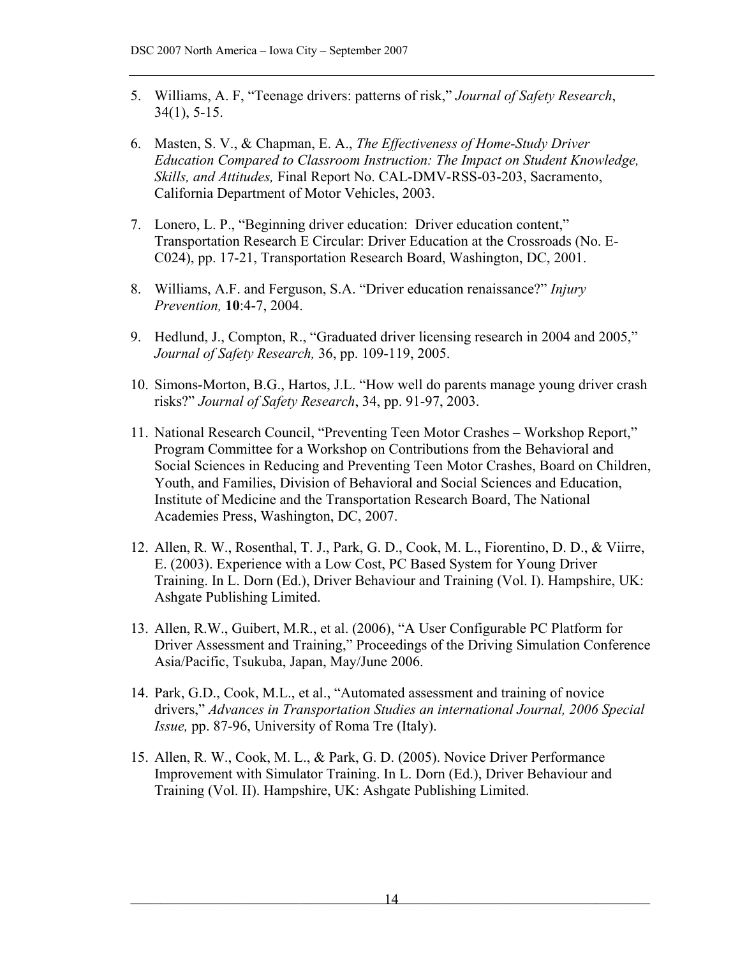- <span id="page-13-0"></span>5. Williams, A. F, "Teenage drivers: patterns of risk," *Journal of Safety Research*, 34(1), 5-15.
- <span id="page-13-1"></span>6. Masten, S. V., & Chapman, E. A., *The Effectiveness of Home-Study Driver Education Compared to Classroom Instruction: The Impact on Student Knowledge, Skills, and Attitudes,* Final Report No. CAL-DMV-RSS-03-203, Sacramento, California Department of Motor Vehicles, 2003.
- <span id="page-13-2"></span>7. Lonero, L. P., "Beginning driver education: Driver education content," Transportation Research E Circular: Driver Education at the Crossroads (No. E-C024), pp. 17-21, Transportation Research Board, Washington, DC, 2001.
- <span id="page-13-3"></span>8. Williams, A.F. and Ferguson, S.A. "Driver education renaissance?" *Injury Prevention,* **10**:4-7, 2004.
- <span id="page-13-4"></span>9. Hedlund, J., Compton, R., "Graduated driver licensing research in 2004 and 2005," *Journal of Safety Research,* 36, pp. 109-119, 2005.
- <span id="page-13-5"></span>10. Simons-Morton, B.G., Hartos, J.L. "How well do parents manage young driver crash risks?" *Journal of Safety Research*, 34, pp. 91-97, 2003.
- <span id="page-13-6"></span>11. National Research Council, "Preventing Teen Motor Crashes – Workshop Report," Program Committee for a Workshop on Contributions from the Behavioral and Social Sciences in Reducing and Preventing Teen Motor Crashes, Board on Children, Youth, and Families, Division of Behavioral and Social Sciences and Education, Institute of Medicine and the Transportation Research Board, The National Academies Press, Washington, DC, 2007.
- <span id="page-13-7"></span>12. Allen, R. W., Rosenthal, T. J., Park, G. D., Cook, M. L., Fiorentino, D. D., & Viirre, E. (2003). Experience with a Low Cost, PC Based System for Young Driver Training. In L. Dorn (Ed.), Driver Behaviour and Training (Vol. I). Hampshire, UK: Ashgate Publishing Limited.
- 13. Allen, R.W., Guibert, M.R., et al. (2006), "A User Configurable PC Platform for Driver Assessment and Training," Proceedings of the Driving Simulation Conference Asia/Pacific, Tsukuba, Japan, May/June 2006.
- <span id="page-13-9"></span>14. Park, G.D., Cook, M.L., et al., "Automated assessment and training of novice drivers," *Advances in Transportation Studies an international Journal, 2006 Special Issue,* pp. 87-96, University of Roma Tre (Italy).
- <span id="page-13-8"></span>15. Allen, R. W., Cook, M. L., & Park, G. D. (2005). Novice Driver Performance Improvement with Simulator Training. In L. Dorn (Ed.), Driver Behaviour and Training (Vol. II). Hampshire, UK: Ashgate Publishing Limited.